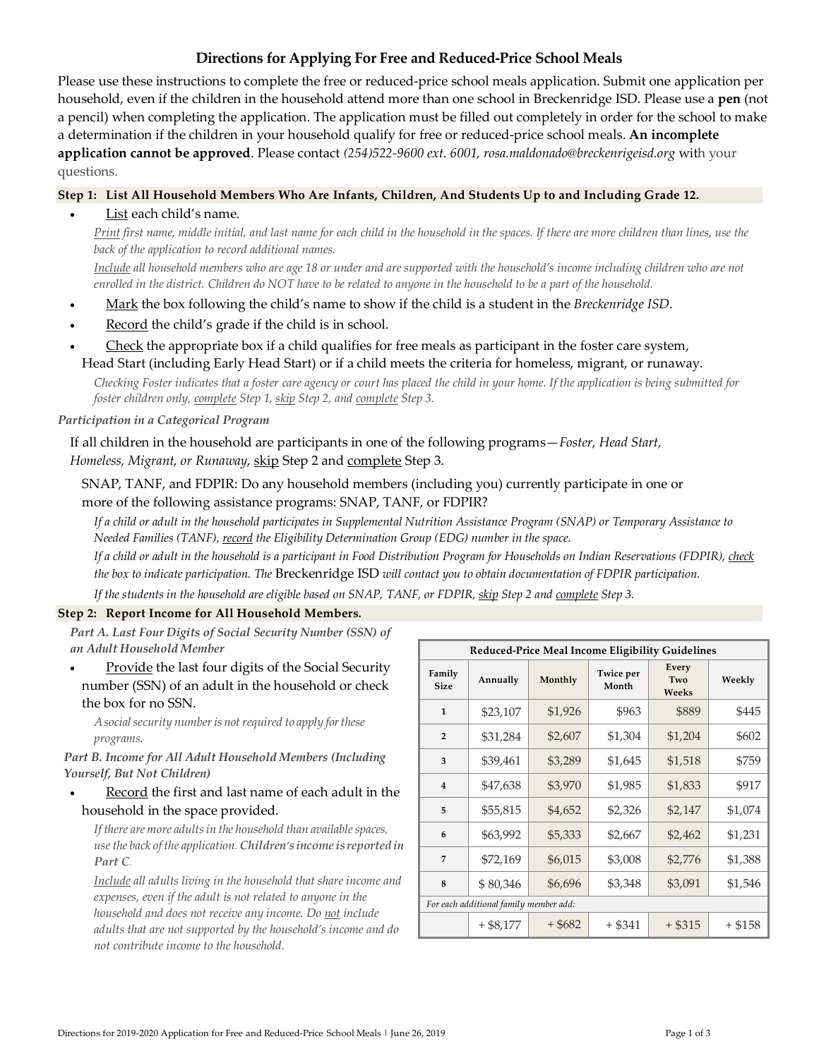# **Directions for Applying For Free and Reduced-Price School Meals**

Please use these instructions to complete the free or reduced-price school meals application. Submit one application per household, even if the children in the household attend more than one school in Breckenridge ISD. Please use a **pen** (not a pencil) when completing the application. The application must be filled out completely in order for the school to make a determination if the children in your household qualify for free or reduced-price school meals. **An incomplete application cannot be approved**. Please contact *(254)522-9600 ext. 6001, rosa.maldonado@breckenrigeisd.org* with your questions.

## **Step 1: List All Household Members Who Are Infants, Children, And Students Up to and Including Grade 12.**

List each child's name*.*

*Print first name, middle initial, and last name for each child in the household in the spaces. If there are more children than lines, use the back of the application to record additional names.* 

*Include all household members who are age 18 or under and are supported with the household's income including children who are not enrolled in the district. Children do NOT have to be related to anyone in the household to be a part of the household.* 

- Mark the box following the child's name to show if the child is a student in the *Breckenridge ISD*.
- Record the child's grade if the child is in school.
- Check the appropriate box if a child qualifies for free meals as participant in the foster care system, Head Start (including Early Head Start) or if a child meets the criteria for homeless, migrant, or runaway.

*Checking Foster indicates that a foster care agency or court has placed the child in your home. If the application is being submitted for foster children only, complete Step 1, skip Step 2, and complete Step 3.* 

## *Participation in a Categorical Program*

If all children in the household are participants in one of the following programs—*Foster, Head Start, Homeless, Migrant, or Runaway*, skip Step 2 and complete Step 3.

SNAP, TANF, and FDPIR: Do any household members (including you) currently participate in one or more of the following assistance programs: SNAP, TANF, or FDPIR?

*If a child or adult in the household participates in Supplemental Nutrition Assistance Program (SNAP) or Temporary Assistance to Needed Families (TANF), record the Eligibility Determination Group (EDG) number in the space.* 

*If a child or adult in the household is a participant in Food Distribution Program for Households on Indian Reservations (FDPIR), check the box to indicate participation. The* Breckenridge ISD *will contact you to obtain documentation of FDPIR participation.* 

*If the students in the household are eligible based on SNAP, TANF, or FDPIR, skip Step 2 and complete Step 3.* 

# **Step 2: Report Income for All Household Members.**

*Part A. Last Four Digits of Social Security Number (SSN) of an Adult Household Member* 

 Provide the last four digits of the Social Security number (SSN) of an adult in the household or check the box for no SSN.

*Asocialsecurity numberisnotrequired to apply forthese programs.* 

*Part B. Income for All Adult Household Members (Including Yourself, But Not Children)* 

Record the first and last name of each adult in the household in the space provided.

*If there are more adultsin the household than availablespaces, usethe back of the application. Children'sincome isreportedin Part C.*

*Include all adults living in the household that share income and expenses, even if the adult is not related to anyone in the household and does not receive any income. Do not include adults that are not supported by the household's income and do not contribute income to the household.* 

| Reduced-Price Meal Income Eligibility Guidelines |           |           |                    |                       |           |  |  |
|--------------------------------------------------|-----------|-----------|--------------------|-----------------------|-----------|--|--|
| Family<br><b>Size</b>                            | Annually  | Monthly   | Twice per<br>Month | Every<br>Two<br>Weeks | Weekly    |  |  |
| $\mathbf{1}$                                     | \$23,107  | \$1,926   | \$963              | \$889                 | \$445     |  |  |
| $\overline{2}$                                   | \$31,284  | \$2,607   | \$1,304            | \$1,204               | \$602     |  |  |
| 3                                                | \$39,461  | \$3,289   | \$1,645            | \$1,518               | \$759     |  |  |
| $\overline{4}$                                   | \$47,638  | \$3,970   | \$1,985            | \$1,833               | \$917     |  |  |
| 5                                                | \$55,815  | \$4,652   | \$2,326            | \$2,147               | \$1,074   |  |  |
| 6                                                | \$63,992  | \$5,333   | \$2,667            | \$2,462               | \$1,231   |  |  |
| 7                                                | \$72,169  | \$6,015   | \$3,008            | \$2,776               | \$1,388   |  |  |
| 8                                                | \$80,346  | \$6,696   | \$3,348            | \$3,091               | \$1,546   |  |  |
| For each additional family member add:           |           |           |                    |                       |           |  |  |
|                                                  | + \$8,177 | $+$ \$682 | + \$341            | $+$ \$315             | $+$ \$158 |  |  |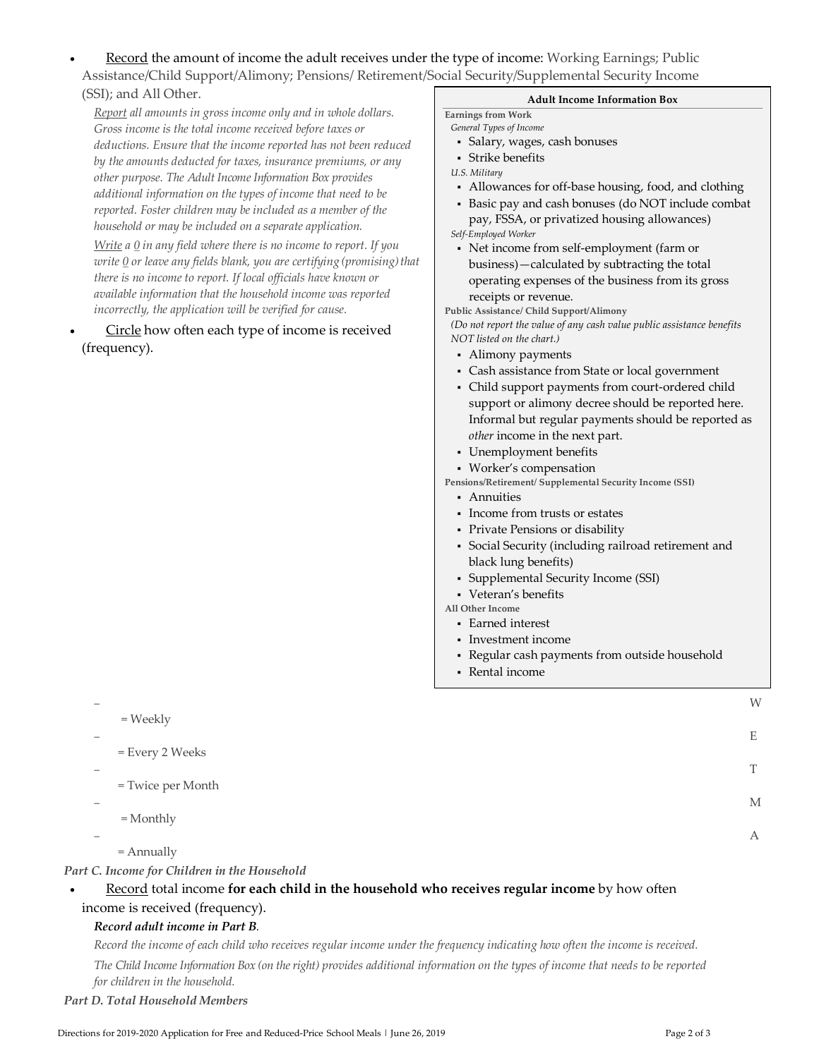Record the amount of income the adult receives under the type of income: Working Earnings; Public Assistance/Child Support/Alimony; Pensions/ Retirement/Social Security/Supplemental Security Income (SSI); and All Other.

*Report all amounts in gross income only and in whole dollars. Gross income is the total income received before taxes or deductions. Ensure that the income reported has not been reduced by the amounts deducted for taxes, insurance premiums, or any other purpose. The Adult Income Information Box provides additional information on the types of income that need to be reported. Foster children may be included as a member of the household or may be included on a separate application.* 

*Write a 0 in any field where there is no income to report. If you write 0 or leave any fields blank, you are certifying (promising)that there is no income to report. If local officials have known or available information that the household income was reported incorrectly, the application will be verified for cause.* 

 Circle how often each type of income is received (frequency).

### **Adult Income Information Box**

#### **Earnings from Work**

- *General Types of Income*
- Salary, wages, cash bonuses
- Strike benefits
- *U.S. Military*
- Allowances for off-base housing, food, and clothing
- Basic pay and cash bonuses (do NOT include combat pay, FSSA, or privatized housing allowances) *Self-Employed Worker*
- Net income from self-employment (farm or business)—calculated by subtracting the total operating expenses of the business from its gross receipts or revenue.

**Public Assistance/ Child Support/Alimony** 

*(Do not report the value of any cash value public assistance benefits NOT listed on the chart.)* 

- Alimony payments
- Cash assistance from State or local government
- Child support payments from court-ordered child support or alimony decree should be reported here. Informal but regular payments should be reported as *other* income in the next part.
- Unemployment benefits
- Worker's compensation
- **Pensions/Retirement/ Supplemental Security Income (SSI)** 
	- Annuities
	- Income from trusts or estates
	- Private Pensions or disability
	- Social Security (including railroad retirement and black lung benefits)
	- Supplemental Security Income (SSI)
	- Veteran's benefits

**All Other Income** 

- Earned interest
- Investment income
- Regular cash payments from outside household
- Rental income

| $=$ Weekly        | W |
|-------------------|---|
|                   | Ε |
| = Every 2 Weeks   |   |
| = Twice per Month |   |
| $=$ Monthly       | M |
| $=$ Annually      | А |
|                   |   |

### *Part C. Income for Children in the Household*

# Record total income **for each child in the household who receives regular income** by how often income is received (frequency).

## *Record adult income in Part B.*

*Record the income of each child who receives regular income under the frequency indicating how often the income is received. The Child Income Information Box (on the right) provides additional information on the types of income that needs to be reported for children in the household.* 

### *Part D. Total Household Members*